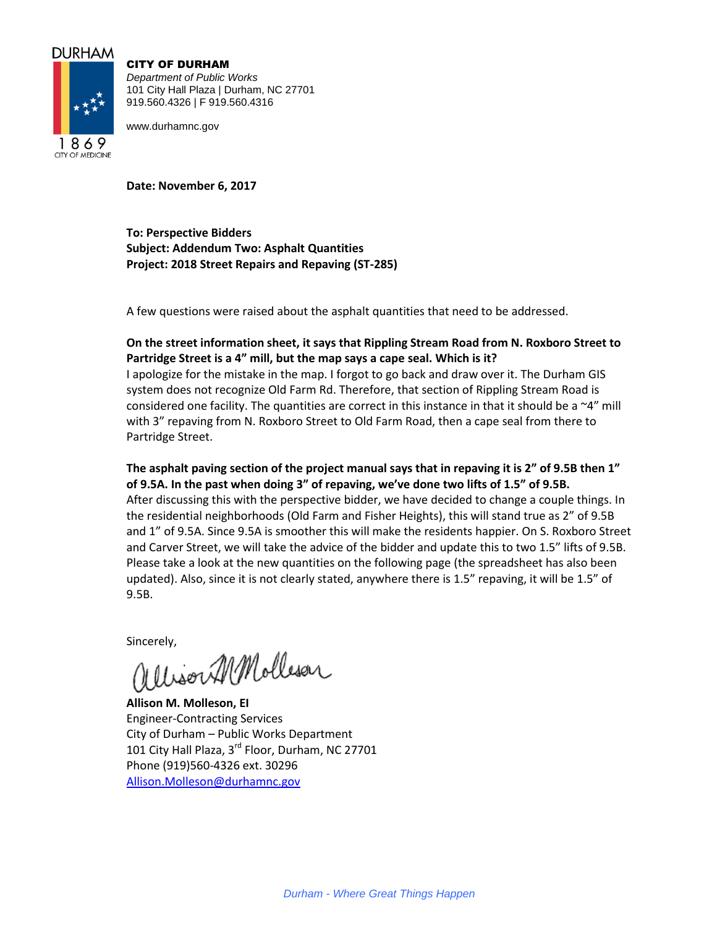## **DURHAM**



CITY OF DURHAM *Department of Public Works* 101 City Hall Plaza | Durham, NC 27701 919.560.4326 | F 919.560.4316

www.durhamnc.gov

**Date: November 6, 2017**

**To: Perspective Bidders Subject: Addendum Two: Asphalt Quantities Project: 2018 Street Repairs and Repaving (ST-285)**

A few questions were raised about the asphalt quantities that need to be addressed.

## **On the street information sheet, it says that Rippling Stream Road from N. Roxboro Street to Partridge Street is a 4" mill, but the map says a cape seal. Which is it?**

I apologize for the mistake in the map. I forgot to go back and draw over it. The Durham GIS system does not recognize Old Farm Rd. Therefore, that section of Rippling Stream Road is considered one facility. The quantities are correct in this instance in that it should be a  $\sim4"$  mill with 3" repaving from N. Roxboro Street to Old Farm Road, then a cape seal from there to Partridge Street.

**The asphalt paving section of the project manual says that in repaving it is 2" of 9.5B then 1" of 9.5A. In the past when doing 3" of repaving, we've done two lifts of 1.5" of 9.5B.**  After discussing this with the perspective bidder, we have decided to change a couple things. In the residential neighborhoods (Old Farm and Fisher Heights), this will stand true as 2" of 9.5B and 1" of 9.5A. Since 9.5A is smoother this will make the residents happier. On S. Roxboro Street and Carver Street, we will take the advice of the bidder and update this to two 1.5" lifts of 9.5B. Please take a look at the new quantities on the following page (the spreadsheet has also been updated). Also, since it is not clearly stated, anywhere there is 1.5" repaving, it will be 1.5" of 9.5B.

Sincerely,<br>allison MMolleson

**Allison M. Molleson, EI** Engineer-Contracting Services City of Durham – Public Works Department 101 City Hall Plaza, 3<sup>rd</sup> Floor, Durham, NC 27701 Phone (919)560-4326 ext. 30296 [Allison.Molleson@durhamnc.gov](mailto:Allison.Molleson@durhamnc.gov)